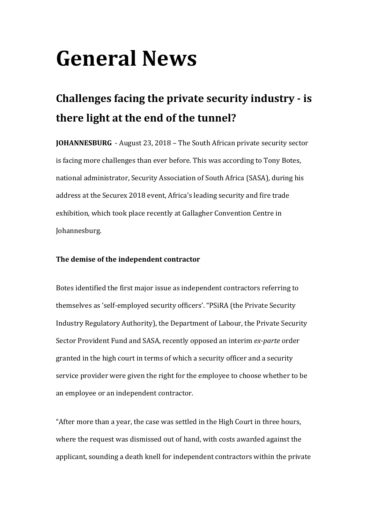# **General News**

# **Challenges facing the private security industry - is there light at the end of the tunnel?**

**JOHANNESBURG** - August 23, 2018 – The South African private security sector is facing more challenges than ever before. This was according to Tony Botes, national administrator, Security Association of South Africa (SASA), during his address at the Securex 2018 event, Africa's leading security and fire trade exhibition, which took place recently at Gallagher Convention Centre in Johannesburg.

## The demise of the independent contractor

Botes identified the first major issue as independent contractors referring to themselves as 'self-employed security officers'. "PSiRA (the Private Security Industry Regulatory Authority), the Department of Labour, the Private Security Sector Provident Fund and SASA, recently opposed an interim *ex-parte* order granted in the high court in terms of which a security officer and a security service provider were given the right for the employee to choose whether to be an employee or an independent contractor.

"After more than a year, the case was settled in the High Court in three hours, where the request was dismissed out of hand, with costs awarded against the applicant, sounding a death knell for independent contractors within the private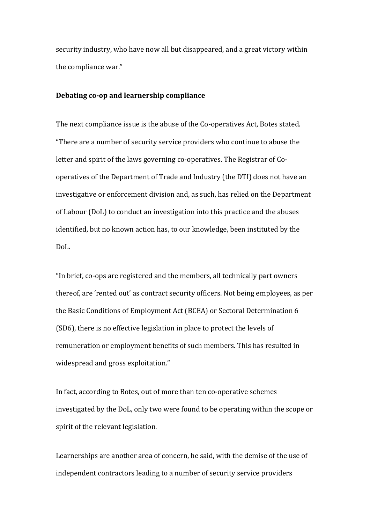security industry, who have now all but disappeared, and a great victory within the compliance war."

#### **Debating co-op and learnership compliance**

The next compliance issue is the abuse of the Co-operatives Act, Botes stated. "There are a number of security service providers who continue to abuse the letter and spirit of the laws governing co-operatives. The Registrar of Cooperatives of the Department of Trade and Industry (the DTI) does not have an investigative or enforcement division and, as such, has relied on the Department of Labour (DoL) to conduct an investigation into this practice and the abuses identified, but no known action has, to our knowledge, been instituted by the DoL.

"In brief, co-ops are registered and the members, all technically part owners thereof, are 'rented out' as contract security officers. Not being employees, as per the Basic Conditions of Employment Act (BCEA) or Sectoral Determination 6 (SD6), there is no effective legislation in place to protect the levels of remuneration or employment benefits of such members. This has resulted in widespread and gross exploitation."

In fact, according to Botes, out of more than ten co-operative schemes investigated by the DoL, only two were found to be operating within the scope or spirit of the relevant legislation.

Learnerships are another area of concern, he said, with the demise of the use of independent contractors leading to a number of security service providers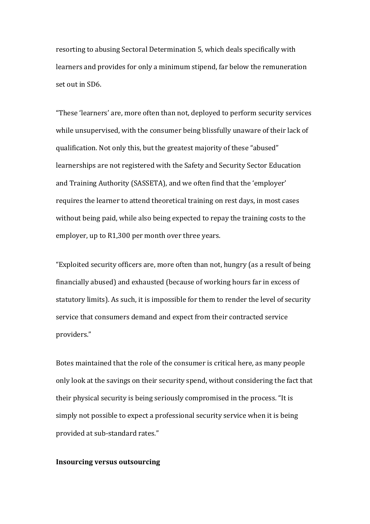resorting to abusing Sectoral Determination 5, which deals specifically with learners and provides for only a minimum stipend, far below the remuneration set out in SD6.

"These 'learners' are, more often than not, deployed to perform security services while unsupervised, with the consumer being blissfully unaware of their lack of qualification. Not only this, but the greatest majority of these "abused" learnerships are not registered with the Safety and Security Sector Education and Training Authority (SASSETA), and we often find that the 'employer' requires the learner to attend theoretical training on rest days, in most cases without being paid, while also being expected to repay the training costs to the employer, up to R1,300 per month over three years.

"Exploited security officers are, more often than not, hungry (as a result of being financially abused) and exhausted (because of working hours far in excess of statutory limits). As such, it is impossible for them to render the level of security service that consumers demand and expect from their contracted service providers."

Botes maintained that the role of the consumer is critical here, as many people only look at the savings on their security spend, without considering the fact that their physical security is being seriously compromised in the process. "It is simply not possible to expect a professional security service when it is being provided at sub-standard rates."

### **Insourcing versus outsourcing**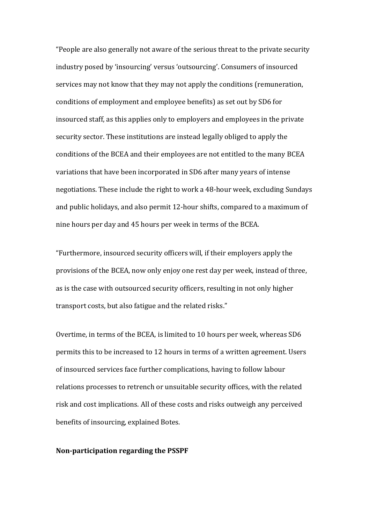"People are also generally not aware of the serious threat to the private security industry posed by 'insourcing' versus 'outsourcing'. Consumers of insourced services may not know that they may not apply the conditions (remuneration, conditions of employment and employee benefits) as set out by SD6 for insourced staff, as this applies only to employers and employees in the private security sector. These institutions are instead legally obliged to apply the conditions of the BCEA and their employees are not entitled to the many BCEA variations that have been incorporated in SD6 after many years of intense negotiations. These include the right to work a 48-hour week, excluding Sundays and public holidays, and also permit 12-hour shifts, compared to a maximum of nine hours per day and 45 hours per week in terms of the BCEA.

"Furthermore, insourced security officers will, if their employers apply the provisions of the BCEA, now only enjoy one rest day per week, instead of three, as is the case with outsourced security officers, resulting in not only higher transport costs, but also fatigue and the related risks."

Overtime, in terms of the BCEA, is limited to 10 hours per week, whereas SD6 permits this to be increased to 12 hours in terms of a written agreement. Users of insourced services face further complications, having to follow labour relations processes to retrench or unsuitable security offices, with the related risk and cost implications. All of these costs and risks outweigh any perceived benefits of insourcing, explained Botes.

#### **Non-participation regarding the PSSPF**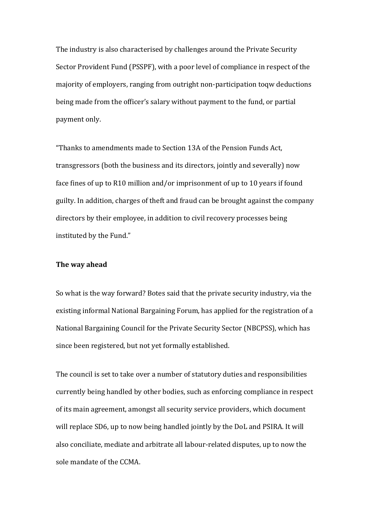The industry is also characterised by challenges around the Private Security Sector Provident Fund (PSSPF), with a poor level of compliance in respect of the majority of employers, ranging from outright non-participation toqw deductions being made from the officer's salary without payment to the fund, or partial payment only.

"Thanks to amendments made to Section 13A of the Pension Funds Act. transgressors (both the business and its directors, jointly and severally) now face fines of up to R10 million and/or imprisonment of up to 10 years if found guilty. In addition, charges of theft and fraud can be brought against the company directors by their employee, in addition to civil recovery processes being instituted by the Fund."

#### **The way ahead**

So what is the way forward? Botes said that the private security industry, via the existing informal National Bargaining Forum, has applied for the registration of a National Bargaining Council for the Private Security Sector (NBCPSS), which has since been registered, but not yet formally established.

The council is set to take over a number of statutory duties and responsibilities currently being handled by other bodies, such as enforcing compliance in respect of its main agreement, amongst all security service providers, which document will replace SD6, up to now being handled jointly by the DoL and PSIRA. It will also conciliate, mediate and arbitrate all labour-related disputes, up to now the sole mandate of the CCMA.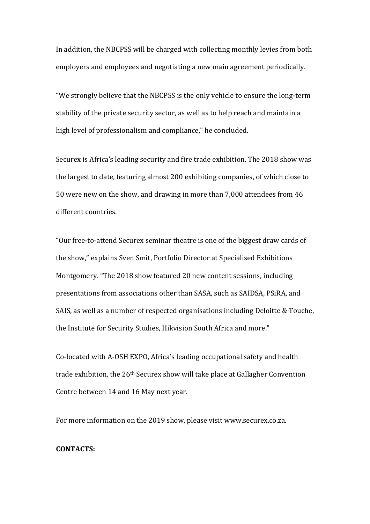In addition, the NBCPSS will be charged with collecting monthly levies from both employers and employees and negotiating a new main agreement periodically.

"We strongly believe that the NBCPSS is the only vehicle to ensure the long-term stability of the private security sector, as well as to help reach and maintain a high level of professionalism and compliance," he concluded.

Securex is Africa's leading security and fire trade exhibition. The 2018 show was the largest to date, featuring almost 200 exhibiting companies, of which close to 50 were new on the show, and drawing in more than 7,000 attendees from 46 different countries

"Our free-to-attend Securex seminar theatre is one of the biggest draw cards of the show," explains Sven Smit, Portfolio Director at Specialised Exhibitions Montgomery. "The 2018 show featured 20 new content sessions, including presentations from associations other than SASA, such as SAIDSA, PSiRA, and SAIS, as well as a number of respected organisations including Deloitte & Touche, the Institute for Security Studies, Hikvision South Africa and more."

Co-located with A-OSH EXPO, Africa's leading occupational safety and health trade exhibition, the 26<sup>th</sup> Securex show will take place at Gallagher Convention Centre between 14 and 16 May next year.

For more information on the 2019 show, please visit www.securex.co.za.

#### **CONTACTS:**